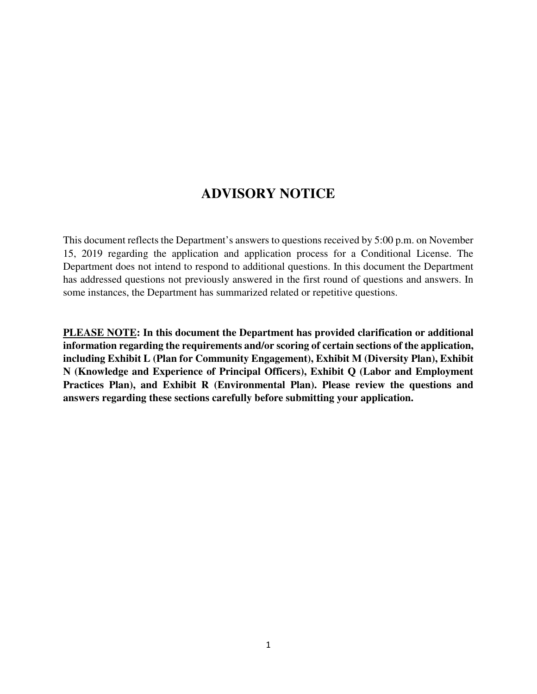### **ADVISORY NOTICE**

This document reflects the Department's answers to questions received by 5:00 p.m. on November 15, 2019 regarding the application and application process for a Conditional License. The Department does not intend to respond to additional questions. In this document the Department has addressed questions not previously answered in the first round of questions and answers. In some instances, the Department has summarized related or repetitive questions.

**PLEASE NOTE: In this document the Department has provided clarification or additional information regarding the requirements and/or scoring of certain sections of the application, including Exhibit L (Plan for Community Engagement), Exhibit M (Diversity Plan), Exhibit N (Knowledge and Experience of Principal Officers), Exhibit Q (Labor and Employment Practices Plan), and Exhibit R (Environmental Plan). Please review the questions and answers regarding these sections carefully before submitting your application.**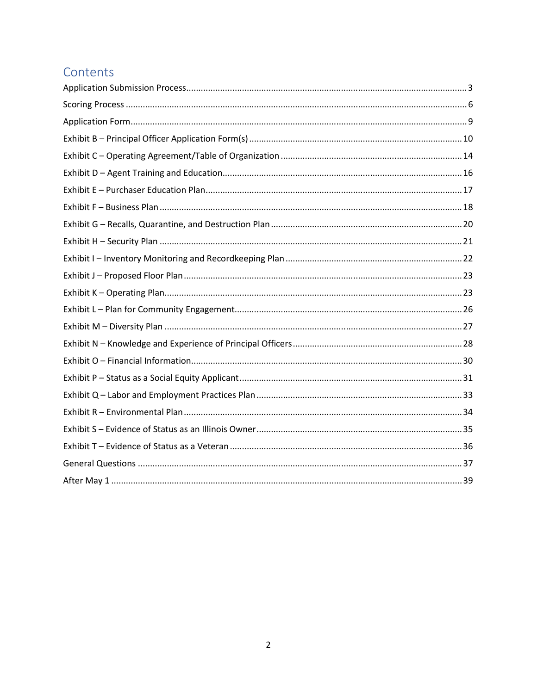# Contents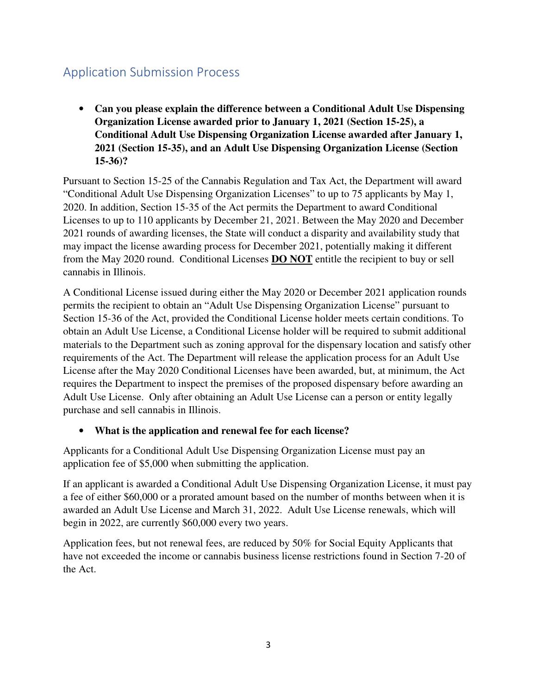### Application Submission Process

• **Can you please explain the difference between a Conditional Adult Use Dispensing Organization License awarded prior to January 1, 2021 (Section 15-25), a Conditional Adult Use Dispensing Organization License awarded after January 1, 2021 (Section 15-35), and an Adult Use Dispensing Organization License (Section 15-36)?**

Pursuant to Section 15-25 of the Cannabis Regulation and Tax Act, the Department will award "Conditional Adult Use Dispensing Organization Licenses" to up to 75 applicants by May 1, 2020. In addition, Section 15-35 of the Act permits the Department to award Conditional Licenses to up to 110 applicants by December 21, 2021. Between the May 2020 and December 2021 rounds of awarding licenses, the State will conduct a disparity and availability study that may impact the license awarding process for December 2021, potentially making it different from the May 2020 round. Conditional Licenses **DO NOT** entitle the recipient to buy or sell cannabis in Illinois.

A Conditional License issued during either the May 2020 or December 2021 application rounds permits the recipient to obtain an "Adult Use Dispensing Organization License" pursuant to Section 15-36 of the Act, provided the Conditional License holder meets certain conditions. To obtain an Adult Use License, a Conditional License holder will be required to submit additional materials to the Department such as zoning approval for the dispensary location and satisfy other requirements of the Act. The Department will release the application process for an Adult Use License after the May 2020 Conditional Licenses have been awarded, but, at minimum, the Act requires the Department to inspect the premises of the proposed dispensary before awarding an Adult Use License. Only after obtaining an Adult Use License can a person or entity legally purchase and sell cannabis in Illinois.

### • **What is the application and renewal fee for each license?**

Applicants for a Conditional Adult Use Dispensing Organization License must pay an application fee of \$5,000 when submitting the application.

If an applicant is awarded a Conditional Adult Use Dispensing Organization License, it must pay a fee of either \$60,000 or a prorated amount based on the number of months between when it is awarded an Adult Use License and March 31, 2022. Adult Use License renewals, which will begin in 2022, are currently \$60,000 every two years.

Application fees, but not renewal fees, are reduced by 50% for Social Equity Applicants that have not exceeded the income or cannabis business license restrictions found in Section 7-20 of the Act.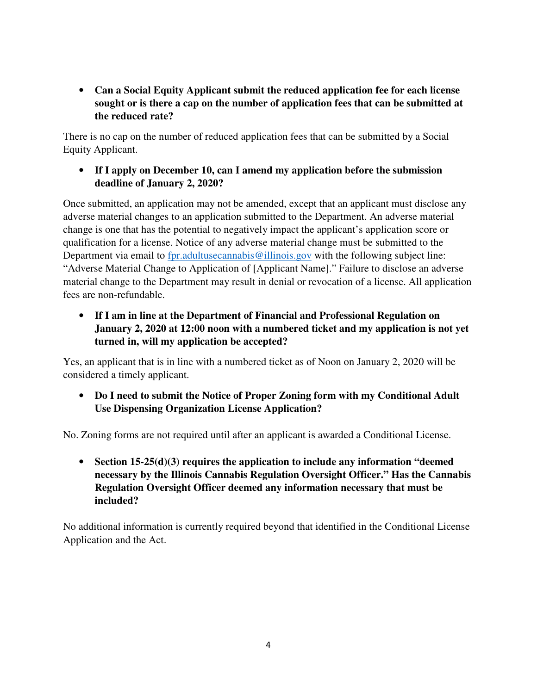• **Can a Social Equity Applicant submit the reduced application fee for each license sought or is there a cap on the number of application fees that can be submitted at the reduced rate?**

There is no cap on the number of reduced application fees that can be submitted by a Social Equity Applicant.

• **If I apply on December 10, can I amend my application before the submission deadline of January 2, 2020?** 

Once submitted, an application may not be amended, except that an applicant must disclose any adverse material changes to an application submitted to the Department. An adverse material change is one that has the potential to negatively impact the applicant's application score or qualification for a license. Notice of any adverse material change must be submitted to the Department via email to fpr.adultusecannabis@illinois.gov with the following subject line: "Adverse Material Change to Application of [Applicant Name]." Failure to disclose an adverse material change to the Department may result in denial or revocation of a license. All application fees are non-refundable.

• **If I am in line at the Department of Financial and Professional Regulation on January 2, 2020 at 12:00 noon with a numbered ticket and my application is not yet turned in, will my application be accepted?** 

Yes, an applicant that is in line with a numbered ticket as of Noon on January 2, 2020 will be considered a timely applicant.

• **Do I need to submit the Notice of Proper Zoning form with my Conditional Adult Use Dispensing Organization License Application?** 

No. Zoning forms are not required until after an applicant is awarded a Conditional License.

• **Section 15-25(d)(3) requires the application to include any information "deemed necessary by the Illinois Cannabis Regulation Oversight Officer." Has the Cannabis Regulation Oversight Officer deemed any information necessary that must be included?** 

No additional information is currently required beyond that identified in the Conditional License Application and the Act.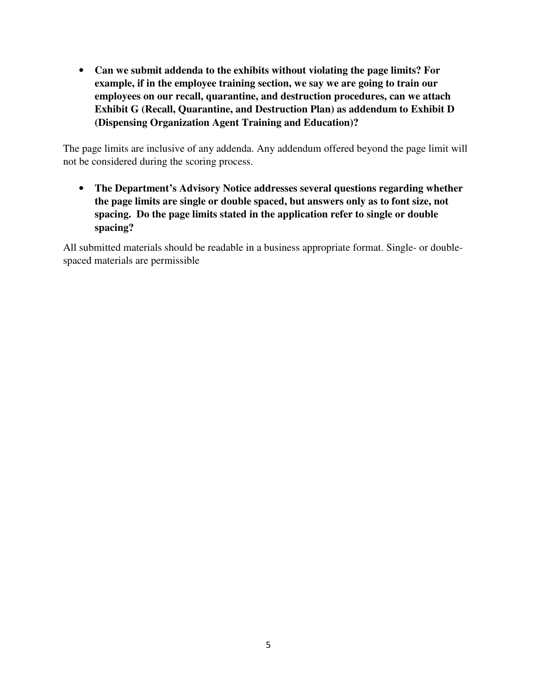• **Can we submit addenda to the exhibits without violating the page limits? For example, if in the employee training section, we say we are going to train our employees on our recall, quarantine, and destruction procedures, can we attach Exhibit G (Recall, Quarantine, and Destruction Plan) as addendum to Exhibit D (Dispensing Organization Agent Training and Education)?** 

The page limits are inclusive of any addenda. Any addendum offered beyond the page limit will not be considered during the scoring process.

• **The Department's Advisory Notice addresses several questions regarding whether the page limits are single or double spaced, but answers only as to font size, not spacing. Do the page limits stated in the application refer to single or double spacing?**

All submitted materials should be readable in a business appropriate format. Single- or doublespaced materials are permissible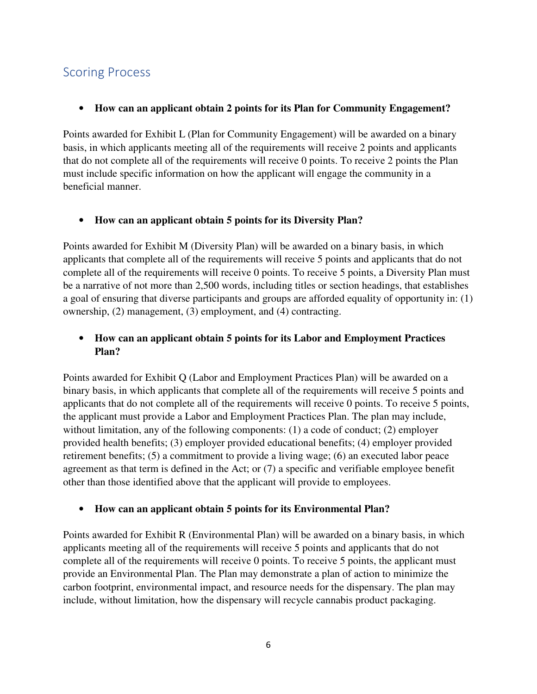### Scoring Process

### • **How can an applicant obtain 2 points for its Plan for Community Engagement?**

Points awarded for Exhibit L (Plan for Community Engagement) will be awarded on a binary basis, in which applicants meeting all of the requirements will receive 2 points and applicants that do not complete all of the requirements will receive 0 points. To receive 2 points the Plan must include specific information on how the applicant will engage the community in a beneficial manner.

#### • **How can an applicant obtain 5 points for its Diversity Plan?**

Points awarded for Exhibit M (Diversity Plan) will be awarded on a binary basis, in which applicants that complete all of the requirements will receive 5 points and applicants that do not complete all of the requirements will receive 0 points. To receive 5 points, a Diversity Plan must be a narrative of not more than 2,500 words, including titles or section headings, that establishes a goal of ensuring that diverse participants and groups are afforded equality of opportunity in: (1) ownership, (2) management, (3) employment, and (4) contracting.

### • **How can an applicant obtain 5 points for its Labor and Employment Practices Plan?**

Points awarded for Exhibit Q (Labor and Employment Practices Plan) will be awarded on a binary basis, in which applicants that complete all of the requirements will receive 5 points and applicants that do not complete all of the requirements will receive 0 points. To receive 5 points, the applicant must provide a Labor and Employment Practices Plan. The plan may include, without limitation, any of the following components: (1) a code of conduct; (2) employer provided health benefits; (3) employer provided educational benefits; (4) employer provided retirement benefits; (5) a commitment to provide a living wage; (6) an executed labor peace agreement as that term is defined in the Act; or (7) a specific and verifiable employee benefit other than those identified above that the applicant will provide to employees.

#### • **How can an applicant obtain 5 points for its Environmental Plan?**

Points awarded for Exhibit R (Environmental Plan) will be awarded on a binary basis, in which applicants meeting all of the requirements will receive 5 points and applicants that do not complete all of the requirements will receive 0 points. To receive 5 points, the applicant must provide an Environmental Plan. The Plan may demonstrate a plan of action to minimize the carbon footprint, environmental impact, and resource needs for the dispensary. The plan may include, without limitation, how the dispensary will recycle cannabis product packaging.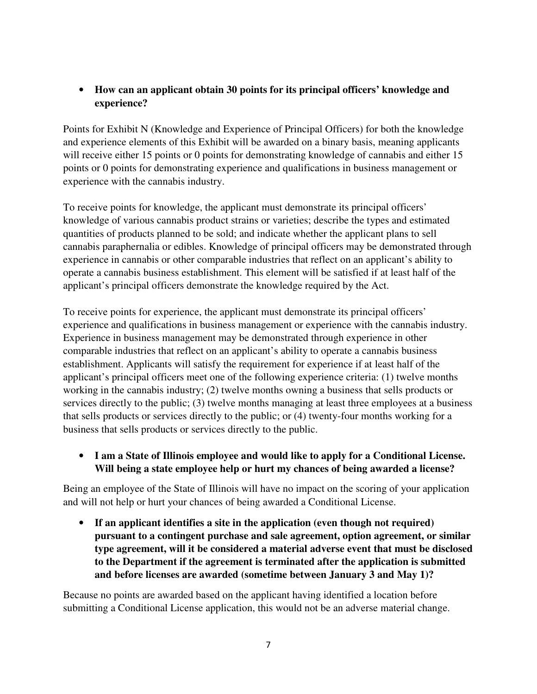### • **How can an applicant obtain 30 points for its principal officers' knowledge and experience?**

Points for Exhibit N (Knowledge and Experience of Principal Officers) for both the knowledge and experience elements of this Exhibit will be awarded on a binary basis, meaning applicants will receive either 15 points or 0 points for demonstrating knowledge of cannabis and either 15 points or 0 points for demonstrating experience and qualifications in business management or experience with the cannabis industry.

To receive points for knowledge, the applicant must demonstrate its principal officers' knowledge of various cannabis product strains or varieties; describe the types and estimated quantities of products planned to be sold; and indicate whether the applicant plans to sell cannabis paraphernalia or edibles. Knowledge of principal officers may be demonstrated through experience in cannabis or other comparable industries that reflect on an applicant's ability to operate a cannabis business establishment. This element will be satisfied if at least half of the applicant's principal officers demonstrate the knowledge required by the Act.

To receive points for experience, the applicant must demonstrate its principal officers' experience and qualifications in business management or experience with the cannabis industry. Experience in business management may be demonstrated through experience in other comparable industries that reflect on an applicant's ability to operate a cannabis business establishment. Applicants will satisfy the requirement for experience if at least half of the applicant's principal officers meet one of the following experience criteria: (1) twelve months working in the cannabis industry; (2) twelve months owning a business that sells products or services directly to the public; (3) twelve months managing at least three employees at a business that sells products or services directly to the public; or (4) twenty-four months working for a business that sells products or services directly to the public.

• **I am a State of Illinois employee and would like to apply for a Conditional License. Will being a state employee help or hurt my chances of being awarded a license?** 

Being an employee of the State of Illinois will have no impact on the scoring of your application and will not help or hurt your chances of being awarded a Conditional License.

• **If an applicant identifies a site in the application (even though not required) pursuant to a contingent purchase and sale agreement, option agreement, or similar type agreement, will it be considered a material adverse event that must be disclosed to the Department if the agreement is terminated after the application is submitted and before licenses are awarded (sometime between January 3 and May 1)?** 

Because no points are awarded based on the applicant having identified a location before submitting a Conditional License application, this would not be an adverse material change.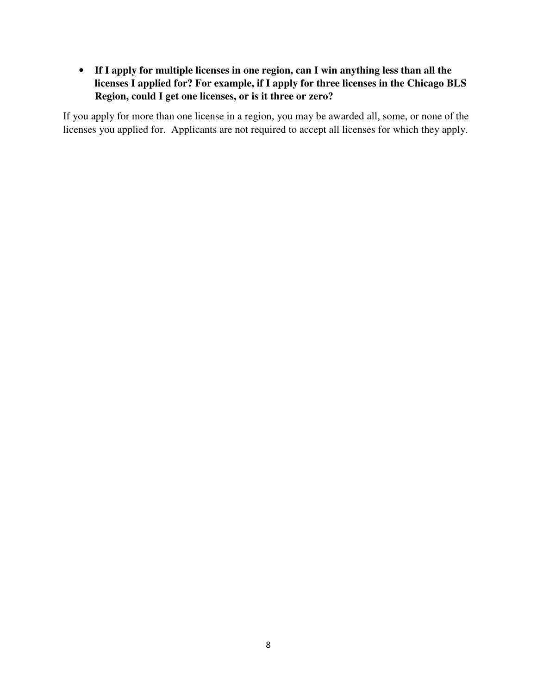• **If I apply for multiple licenses in one region, can I win anything less than all the licenses I applied for? For example, if I apply for three licenses in the Chicago BLS Region, could I get one licenses, or is it three or zero?** 

If you apply for more than one license in a region, you may be awarded all, some, or none of the licenses you applied for. Applicants are not required to accept all licenses for which they apply.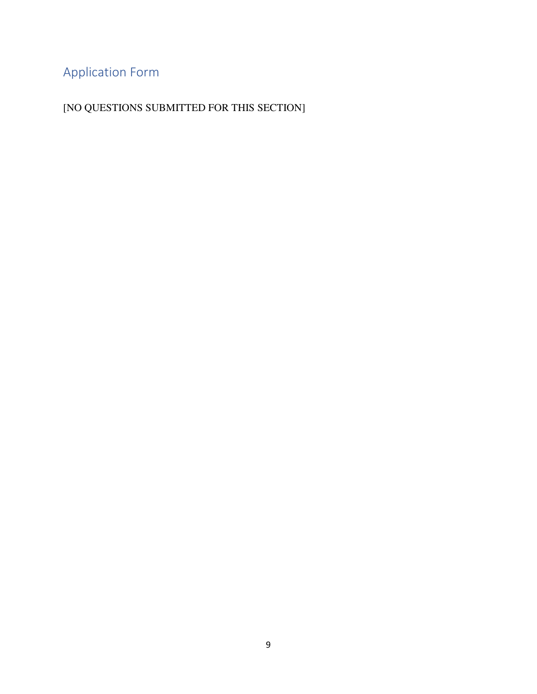# Application Form

[NO QUESTIONS SUBMITTED FOR THIS SECTION]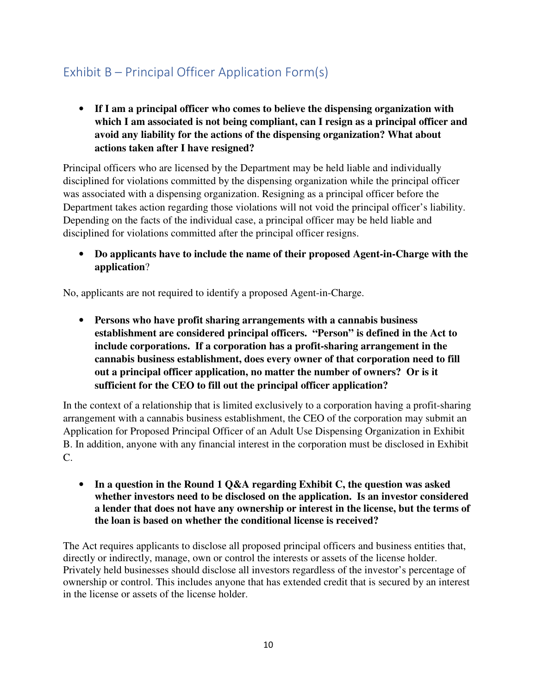# Exhibit B – Principal Officer Application Form(s)

• **If I am a principal officer who comes to believe the dispensing organization with which I am associated is not being compliant, can I resign as a principal officer and avoid any liability for the actions of the dispensing organization? What about actions taken after I have resigned?** 

Principal officers who are licensed by the Department may be held liable and individually disciplined for violations committed by the dispensing organization while the principal officer was associated with a dispensing organization. Resigning as a principal officer before the Department takes action regarding those violations will not void the principal officer's liability. Depending on the facts of the individual case, a principal officer may be held liable and disciplined for violations committed after the principal officer resigns.

• **Do applicants have to include the name of their proposed Agent-in-Charge with the application**?

No, applicants are not required to identify a proposed Agent-in-Charge.

• **Persons who have profit sharing arrangements with a cannabis business establishment are considered principal officers. "Person" is defined in the Act to include corporations. If a corporation has a profit-sharing arrangement in the cannabis business establishment, does every owner of that corporation need to fill out a principal officer application, no matter the number of owners? Or is it sufficient for the CEO to fill out the principal officer application?** 

In the context of a relationship that is limited exclusively to a corporation having a profit-sharing arrangement with a cannabis business establishment, the CEO of the corporation may submit an Application for Proposed Principal Officer of an Adult Use Dispensing Organization in Exhibit B. In addition, anyone with any financial interest in the corporation must be disclosed in Exhibit C.

• **In a question in the Round 1 Q&A regarding Exhibit C, the question was asked whether investors need to be disclosed on the application. Is an investor considered a lender that does not have any ownership or interest in the license, but the terms of the loan is based on whether the conditional license is received?** 

The Act requires applicants to disclose all proposed principal officers and business entities that, directly or indirectly, manage, own or control the interests or assets of the license holder. Privately held businesses should disclose all investors regardless of the investor's percentage of ownership or control. This includes anyone that has extended credit that is secured by an interest in the license or assets of the license holder.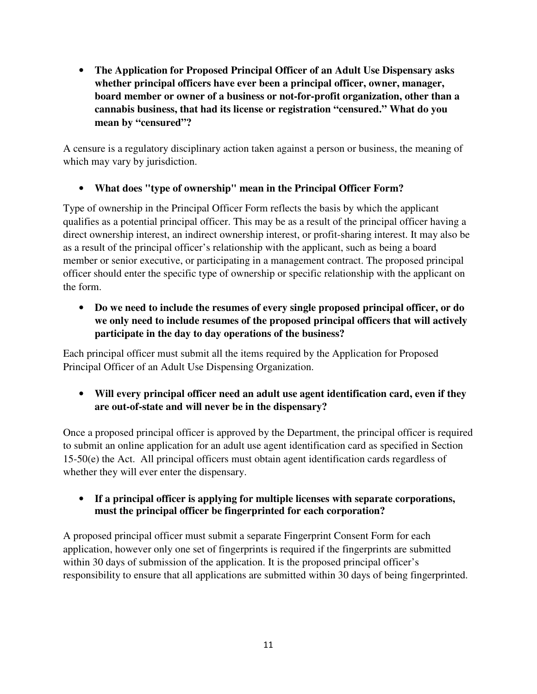• **The Application for Proposed Principal Officer of an Adult Use Dispensary asks whether principal officers have ever been a principal officer, owner, manager, board member or owner of a business or not-for-profit organization, other than a cannabis business, that had its license or registration "censured." What do you mean by "censured"?** 

A censure is a regulatory disciplinary action taken against a person or business, the meaning of which may vary by jurisdiction.

• **What does "type of ownership" mean in the Principal Officer Form?** 

Type of ownership in the Principal Officer Form reflects the basis by which the applicant qualifies as a potential principal officer. This may be as a result of the principal officer having a direct ownership interest, an indirect ownership interest, or profit-sharing interest. It may also be as a result of the principal officer's relationship with the applicant, such as being a board member or senior executive, or participating in a management contract. The proposed principal officer should enter the specific type of ownership or specific relationship with the applicant on the form.

• **Do we need to include the resumes of every single proposed principal officer, or do we only need to include resumes of the proposed principal officers that will actively participate in the day to day operations of the business?** 

Each principal officer must submit all the items required by the Application for Proposed Principal Officer of an Adult Use Dispensing Organization.

• **Will every principal officer need an adult use agent identification card, even if they are out-of-state and will never be in the dispensary?**

Once a proposed principal officer is approved by the Department, the principal officer is required to submit an online application for an adult use agent identification card as specified in Section 15-50(e) the Act. All principal officers must obtain agent identification cards regardless of whether they will ever enter the dispensary.

• **If a principal officer is applying for multiple licenses with separate corporations, must the principal officer be fingerprinted for each corporation?** 

A proposed principal officer must submit a separate Fingerprint Consent Form for each application, however only one set of fingerprints is required if the fingerprints are submitted within 30 days of submission of the application. It is the proposed principal officer's responsibility to ensure that all applications are submitted within 30 days of being fingerprinted.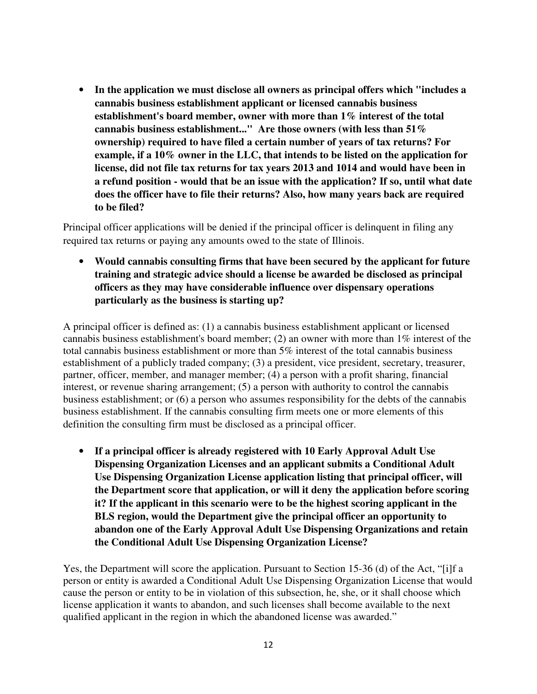• **In the application we must disclose all owners as principal offers which "includes a cannabis business establishment applicant or licensed cannabis business establishment's board member, owner with more than 1% interest of the total cannabis business establishment..." Are those owners (with less than 51% ownership) required to have filed a certain number of years of tax returns? For example, if a 10% owner in the LLC, that intends to be listed on the application for license, did not file tax returns for tax years 2013 and 1014 and would have been in a refund position - would that be an issue with the application? If so, until what date does the officer have to file their returns? Also, how many years back are required to be filed?**

Principal officer applications will be denied if the principal officer is delinquent in filing any required tax returns or paying any amounts owed to the state of Illinois.

• **Would cannabis consulting firms that have been secured by the applicant for future training and strategic advice should a license be awarded be disclosed as principal officers as they may have considerable influence over dispensary operations particularly as the business is starting up?** 

A principal officer is defined as: (1) a cannabis business establishment applicant or licensed cannabis business establishment's board member; (2) an owner with more than 1% interest of the total cannabis business establishment or more than 5% interest of the total cannabis business establishment of a publicly traded company; (3) a president, vice president, secretary, treasurer, partner, officer, member, and manager member; (4) a person with a profit sharing, financial interest, or revenue sharing arrangement; (5) a person with authority to control the cannabis business establishment; or (6) a person who assumes responsibility for the debts of the cannabis business establishment. If the cannabis consulting firm meets one or more elements of this definition the consulting firm must be disclosed as a principal officer.

• **If a principal officer is already registered with 10 Early Approval Adult Use Dispensing Organization Licenses and an applicant submits a Conditional Adult Use Dispensing Organization License application listing that principal officer, will the Department score that application, or will it deny the application before scoring it? If the applicant in this scenario were to be the highest scoring applicant in the BLS region, would the Department give the principal officer an opportunity to abandon one of the Early Approval Adult Use Dispensing Organizations and retain the Conditional Adult Use Dispensing Organization License?** 

Yes, the Department will score the application. Pursuant to Section 15-36 (d) of the Act, "[i]f a person or entity is awarded a Conditional Adult Use Dispensing Organization License that would cause the person or entity to be in violation of this subsection, he, she, or it shall choose which license application it wants to abandon, and such licenses shall become available to the next qualified applicant in the region in which the abandoned license was awarded."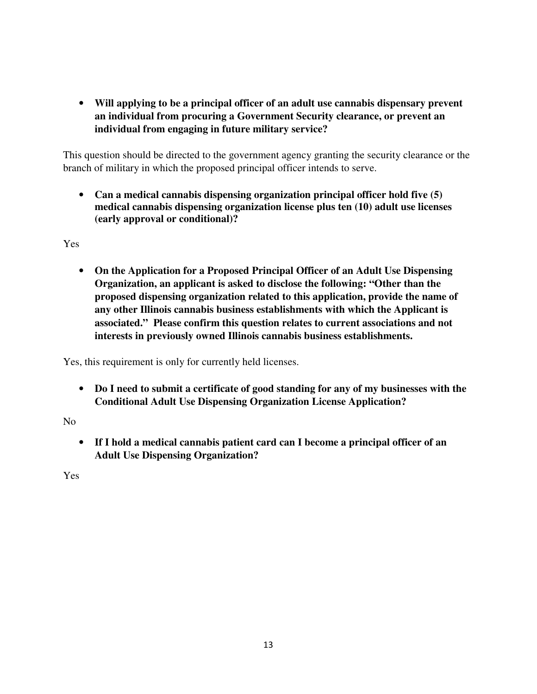• **Will applying to be a principal officer of an adult use cannabis dispensary prevent an individual from procuring a Government Security clearance, or prevent an individual from engaging in future military service?** 

This question should be directed to the government agency granting the security clearance or the branch of military in which the proposed principal officer intends to serve.

• **Can a medical cannabis dispensing organization principal officer hold five (5) medical cannabis dispensing organization license plus ten (10) adult use licenses (early approval or conditional)?** 

Yes

• **On the Application for a Proposed Principal Officer of an Adult Use Dispensing Organization, an applicant is asked to disclose the following: "Other than the proposed dispensing organization related to this application, provide the name of any other Illinois cannabis business establishments with which the Applicant is associated." Please confirm this question relates to current associations and not interests in previously owned Illinois cannabis business establishments.** 

Yes, this requirement is only for currently held licenses.

• **Do I need to submit a certificate of good standing for any of my businesses with the Conditional Adult Use Dispensing Organization License Application?**

No

• **If I hold a medical cannabis patient card can I become a principal officer of an Adult Use Dispensing Organization?**

Yes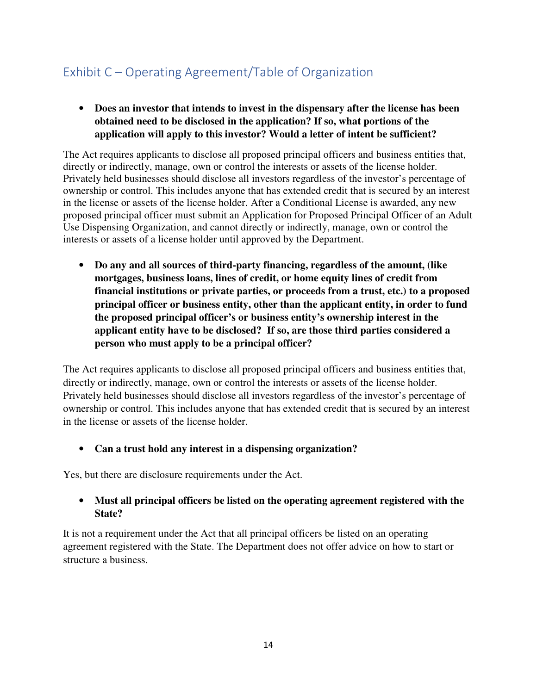# Exhibit C – Operating Agreement/Table of Organization

• **Does an investor that intends to invest in the dispensary after the license has been obtained need to be disclosed in the application? If so, what portions of the application will apply to this investor? Would a letter of intent be sufficient?** 

The Act requires applicants to disclose all proposed principal officers and business entities that, directly or indirectly, manage, own or control the interests or assets of the license holder. Privately held businesses should disclose all investors regardless of the investor's percentage of ownership or control. This includes anyone that has extended credit that is secured by an interest in the license or assets of the license holder. After a Conditional License is awarded, any new proposed principal officer must submit an Application for Proposed Principal Officer of an Adult Use Dispensing Organization, and cannot directly or indirectly, manage, own or control the interests or assets of a license holder until approved by the Department.

• **Do any and all sources of third-party financing, regardless of the amount, (like mortgages, business loans, lines of credit, or home equity lines of credit from financial institutions or private parties, or proceeds from a trust, etc.) to a proposed principal officer or business entity, other than the applicant entity, in order to fund the proposed principal officer's or business entity's ownership interest in the applicant entity have to be disclosed? If so, are those third parties considered a person who must apply to be a principal officer?** 

The Act requires applicants to disclose all proposed principal officers and business entities that, directly or indirectly, manage, own or control the interests or assets of the license holder. Privately held businesses should disclose all investors regardless of the investor's percentage of ownership or control. This includes anyone that has extended credit that is secured by an interest in the license or assets of the license holder.

#### • **Can a trust hold any interest in a dispensing organization?**

Yes, but there are disclosure requirements under the Act.

#### • **Must all principal officers be listed on the operating agreement registered with the State?**

It is not a requirement under the Act that all principal officers be listed on an operating agreement registered with the State. The Department does not offer advice on how to start or structure a business.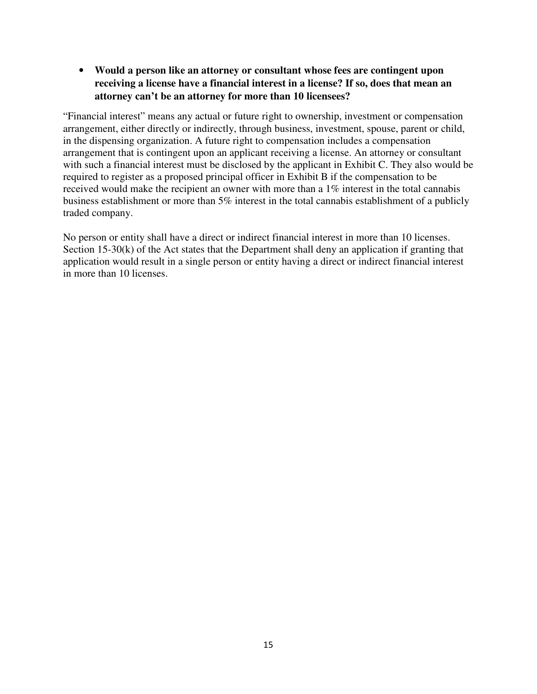• **Would a person like an attorney or consultant whose fees are contingent upon receiving a license have a financial interest in a license? If so, does that mean an attorney can't be an attorney for more than 10 licensees?** 

"Financial interest" means any actual or future right to ownership, investment or compensation arrangement, either directly or indirectly, through business, investment, spouse, parent or child, in the dispensing organization. A future right to compensation includes a compensation arrangement that is contingent upon an applicant receiving a license. An attorney or consultant with such a financial interest must be disclosed by the applicant in Exhibit C. They also would be required to register as a proposed principal officer in Exhibit B if the compensation to be received would make the recipient an owner with more than a 1% interest in the total cannabis business establishment or more than 5% interest in the total cannabis establishment of a publicly traded company.

No person or entity shall have a direct or indirect financial interest in more than 10 licenses. Section 15-30(k) of the Act states that the Department shall deny an application if granting that application would result in a single person or entity having a direct or indirect financial interest in more than 10 licenses.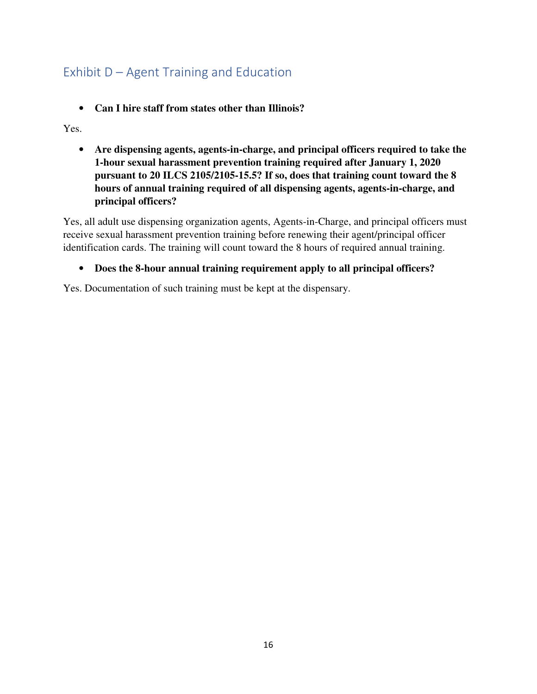# Exhibit D – Agent Training and Education

• **Can I hire staff from states other than Illinois?**

Yes.

• **Are dispensing agents, agents-in-charge, and principal officers required to take the 1-hour sexual harassment prevention training required after January 1, 2020 pursuant to 20 ILCS 2105/2105-15.5? If so, does that training count toward the 8 hours of annual training required of all dispensing agents, agents-in-charge, and principal officers?** 

Yes, all adult use dispensing organization agents, Agents-in-Charge, and principal officers must receive sexual harassment prevention training before renewing their agent/principal officer identification cards. The training will count toward the 8 hours of required annual training.

#### • **Does the 8-hour annual training requirement apply to all principal officers?**

Yes. Documentation of such training must be kept at the dispensary.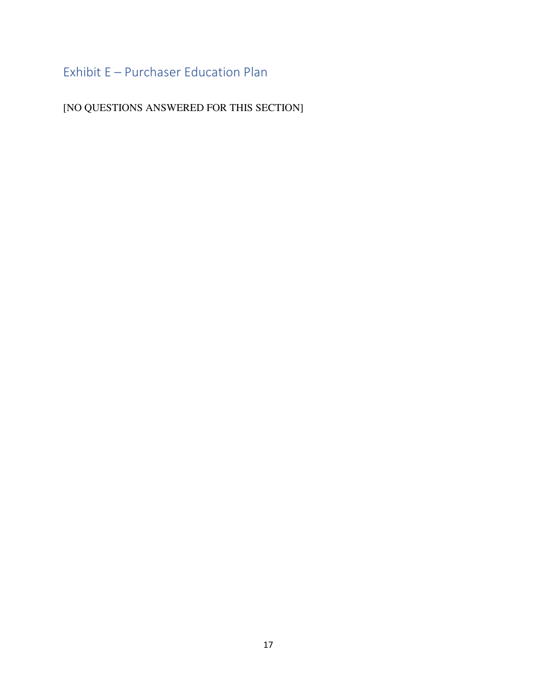# Exhibit E – Purchaser Education Plan

[NO QUESTIONS ANSWERED FOR THIS SECTION]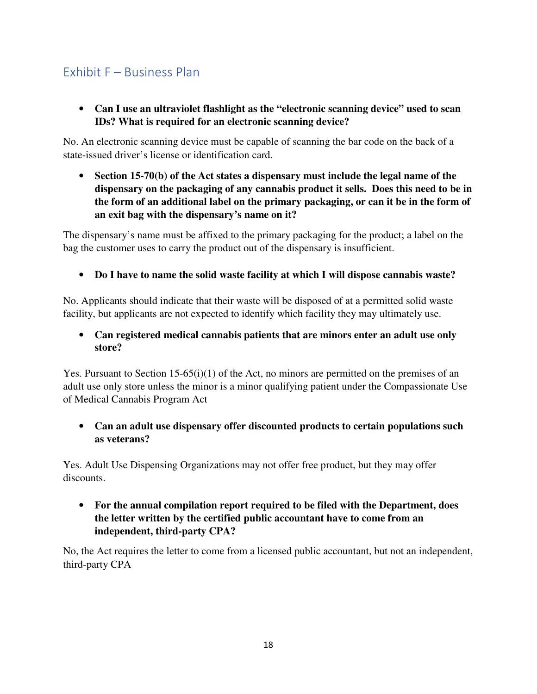### Exhibit F – Business Plan

• **Can I use an ultraviolet flashlight as the "electronic scanning device" used to scan IDs? What is required for an electronic scanning device?** 

No. An electronic scanning device must be capable of scanning the bar code on the back of a state-issued driver's license or identification card.

• **Section 15-70(b) of the Act states a dispensary must include the legal name of the dispensary on the packaging of any cannabis product it sells. Does this need to be in the form of an additional label on the primary packaging, or can it be in the form of an exit bag with the dispensary's name on it?** 

The dispensary's name must be affixed to the primary packaging for the product; a label on the bag the customer uses to carry the product out of the dispensary is insufficient.

• **Do I have to name the solid waste facility at which I will dispose cannabis waste?**

No. Applicants should indicate that their waste will be disposed of at a permitted solid waste facility, but applicants are not expected to identify which facility they may ultimately use.

• **Can registered medical cannabis patients that are minors enter an adult use only store?** 

Yes. Pursuant to Section 15-65(i)(1) of the Act, no minors are permitted on the premises of an adult use only store unless the minor is a minor qualifying patient under the Compassionate Use of Medical Cannabis Program Act

• **Can an adult use dispensary offer discounted products to certain populations such as veterans?**

Yes. Adult Use Dispensing Organizations may not offer free product, but they may offer discounts.

• **For the annual compilation report required to be filed with the Department, does the letter written by the certified public accountant have to come from an independent, third-party CPA?** 

No, the Act requires the letter to come from a licensed public accountant, but not an independent, third-party CPA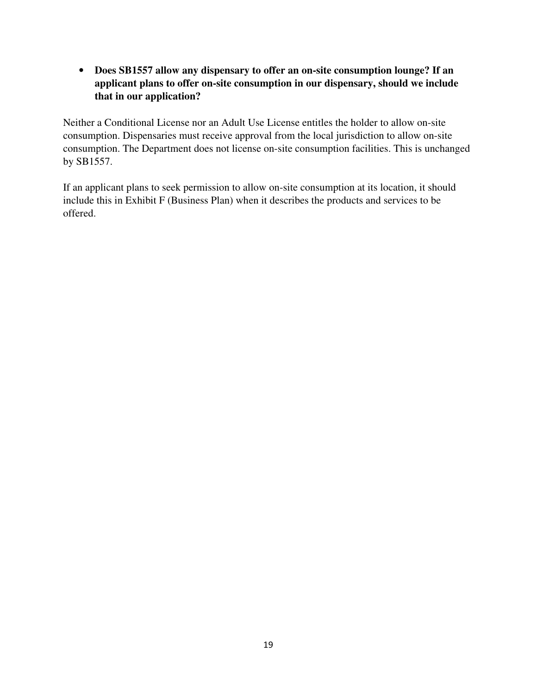• **Does SB1557 allow any dispensary to offer an on-site consumption lounge? If an applicant plans to offer on-site consumption in our dispensary, should we include that in our application?** 

Neither a Conditional License nor an Adult Use License entitles the holder to allow on-site consumption. Dispensaries must receive approval from the local jurisdiction to allow on-site consumption. The Department does not license on-site consumption facilities. This is unchanged by SB1557.

If an applicant plans to seek permission to allow on-site consumption at its location, it should include this in Exhibit F (Business Plan) when it describes the products and services to be offered.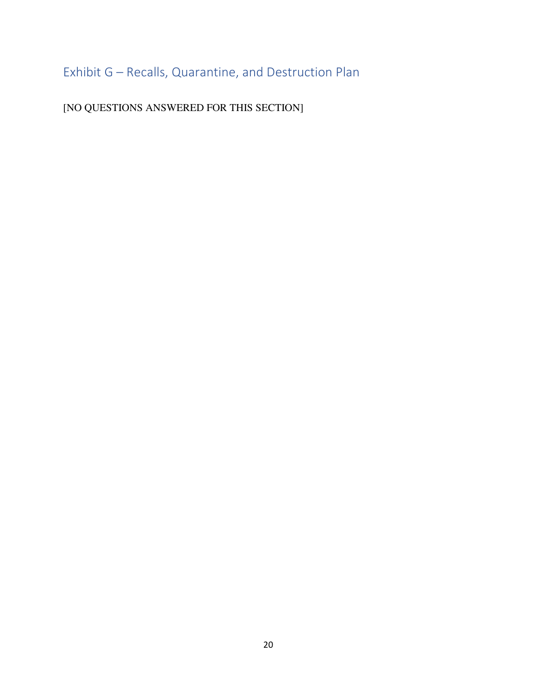Exhibit G – Recalls, Quarantine, and Destruction Plan

[NO QUESTIONS ANSWERED FOR THIS SECTION]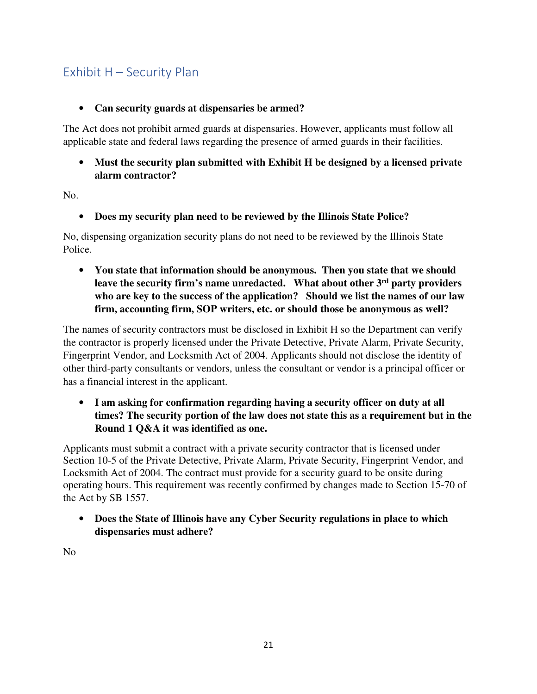### Exhibit H – Security Plan

### • **Can security guards at dispensaries be armed?**

The Act does not prohibit armed guards at dispensaries. However, applicants must follow all applicable state and federal laws regarding the presence of armed guards in their facilities.

• **Must the security plan submitted with Exhibit H be designed by a licensed private alarm contractor?**

No.

• **Does my security plan need to be reviewed by the Illinois State Police?**

No, dispensing organization security plans do not need to be reviewed by the Illinois State Police.

• **You state that information should be anonymous. Then you state that we should leave the security firm's name unredacted. What about other 3rd party providers who are key to the success of the application? Should we list the names of our law firm, accounting firm, SOP writers, etc. or should those be anonymous as well?**

The names of security contractors must be disclosed in Exhibit H so the Department can verify the contractor is properly licensed under the Private Detective, Private Alarm, Private Security, Fingerprint Vendor, and Locksmith Act of 2004. Applicants should not disclose the identity of other third-party consultants or vendors, unless the consultant or vendor is a principal officer or has a financial interest in the applicant.

• **I am asking for confirmation regarding having a security officer on duty at all times? The security portion of the law does not state this as a requirement but in the Round 1 Q&A it was identified as one.** 

Applicants must submit a contract with a private security contractor that is licensed under Section 10-5 of the Private Detective, Private Alarm, Private Security, Fingerprint Vendor, and Locksmith Act of 2004. The contract must provide for a security guard to be onsite during operating hours. This requirement was recently confirmed by changes made to Section 15-70 of the Act by SB 1557.

• **Does the State of Illinois have any Cyber Security regulations in place to which dispensaries must adhere?** 

No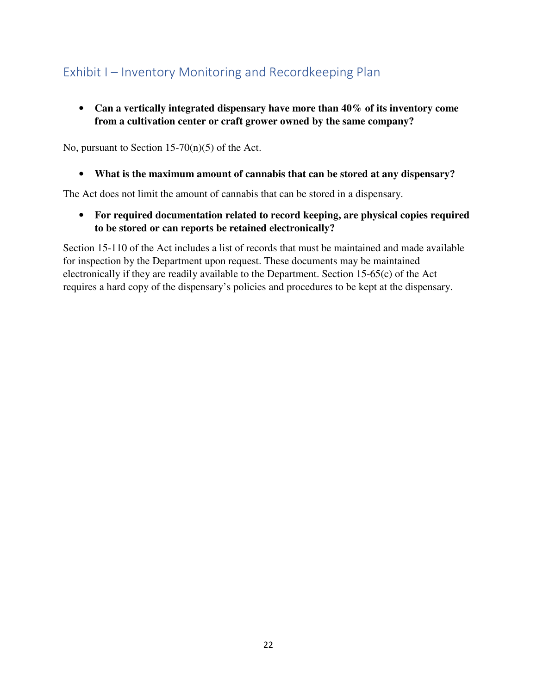# Exhibit I – Inventory Monitoring and Recordkeeping Plan

• **Can a vertically integrated dispensary have more than 40% of its inventory come from a cultivation center or craft grower owned by the same company?** 

No, pursuant to Section  $15-70(n)(5)$  of the Act.

• **What is the maximum amount of cannabis that can be stored at any dispensary?** 

The Act does not limit the amount of cannabis that can be stored in a dispensary.

• **For required documentation related to record keeping, are physical copies required to be stored or can reports be retained electronically?** 

Section 15-110 of the Act includes a list of records that must be maintained and made available for inspection by the Department upon request. These documents may be maintained electronically if they are readily available to the Department. Section 15-65(c) of the Act requires a hard copy of the dispensary's policies and procedures to be kept at the dispensary.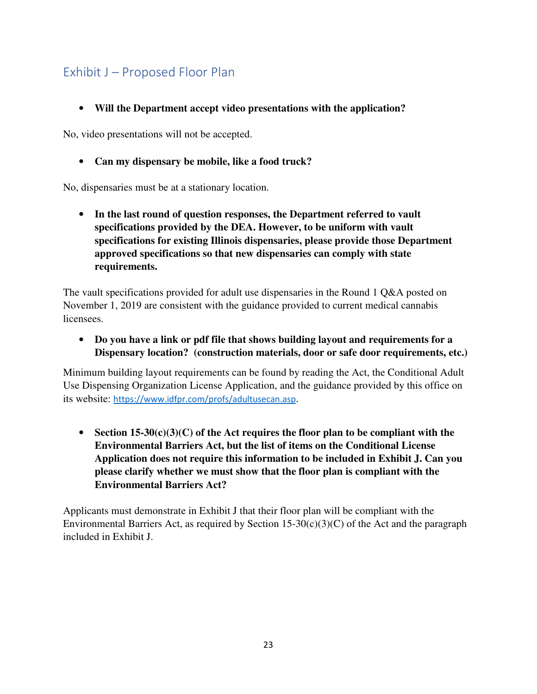# Exhibit J – Proposed Floor Plan

• **Will the Department accept video presentations with the application?**

No, video presentations will not be accepted.

• **Can my dispensary be mobile, like a food truck?**

No, dispensaries must be at a stationary location.

• **In the last round of question responses, the Department referred to vault specifications provided by the DEA. However, to be uniform with vault specifications for existing Illinois dispensaries, please provide those Department approved specifications so that new dispensaries can comply with state requirements.** 

The vault specifications provided for adult use dispensaries in the Round 1 Q&A posted on November 1, 2019 are consistent with the guidance provided to current medical cannabis licensees.

• **Do you have a link or pdf file that shows building layout and requirements for a Dispensary location? (construction materials, door or safe door requirements, etc.)**

Minimum building layout requirements can be found by reading the Act, the Conditional Adult Use Dispensing Organization License Application, and the guidance provided by this office on its website: https://www.idfpr.com/profs/adultusecan.asp.

• **Section 15-30(c)(3)(C) of the Act requires the floor plan to be compliant with the Environmental Barriers Act, but the list of items on the Conditional License Application does not require this information to be included in Exhibit J. Can you please clarify whether we must show that the floor plan is compliant with the Environmental Barriers Act?** 

Applicants must demonstrate in Exhibit J that their floor plan will be compliant with the Environmental Barriers Act, as required by Section 15-30(c)(3)(C) of the Act and the paragraph included in Exhibit J.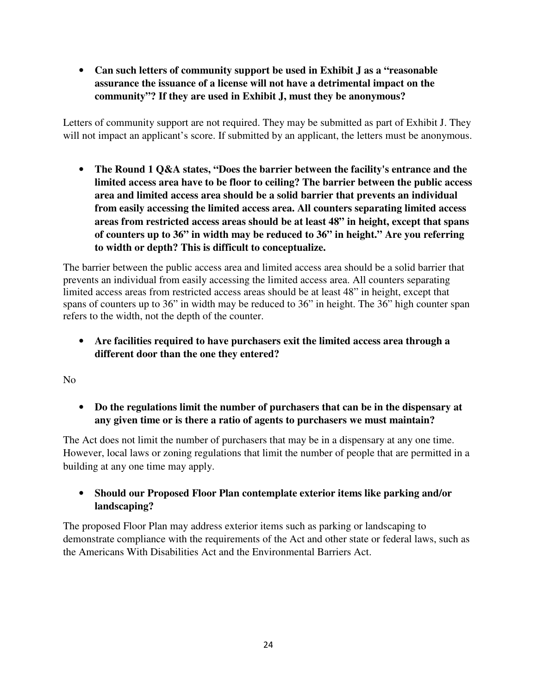• **Can such letters of community support be used in Exhibit J as a "reasonable assurance the issuance of a license will not have a detrimental impact on the community"? If they are used in Exhibit J, must they be anonymous?**

Letters of community support are not required. They may be submitted as part of Exhibit J. They will not impact an applicant's score. If submitted by an applicant, the letters must be anonymous.

• **The Round 1 Q&A states, "Does the barrier between the facility's entrance and the limited access area have to be floor to ceiling? The barrier between the public access area and limited access area should be a solid barrier that prevents an individual from easily accessing the limited access area. All counters separating limited access areas from restricted access areas should be at least 48" in height, except that spans of counters up to 36" in width may be reduced to 36" in height." Are you referring to width or depth? This is difficult to conceptualize.** 

The barrier between the public access area and limited access area should be a solid barrier that prevents an individual from easily accessing the limited access area. All counters separating limited access areas from restricted access areas should be at least 48" in height, except that spans of counters up to 36" in width may be reduced to 36" in height. The 36" high counter span refers to the width, not the depth of the counter.

• **Are facilities required to have purchasers exit the limited access area through a different door than the one they entered?**

No

• **Do the regulations limit the number of purchasers that can be in the dispensary at any given time or is there a ratio of agents to purchasers we must maintain?** 

The Act does not limit the number of purchasers that may be in a dispensary at any one time. However, local laws or zoning regulations that limit the number of people that are permitted in a building at any one time may apply.

• **Should our Proposed Floor Plan contemplate exterior items like parking and/or landscaping?** 

The proposed Floor Plan may address exterior items such as parking or landscaping to demonstrate compliance with the requirements of the Act and other state or federal laws, such as the Americans With Disabilities Act and the Environmental Barriers Act.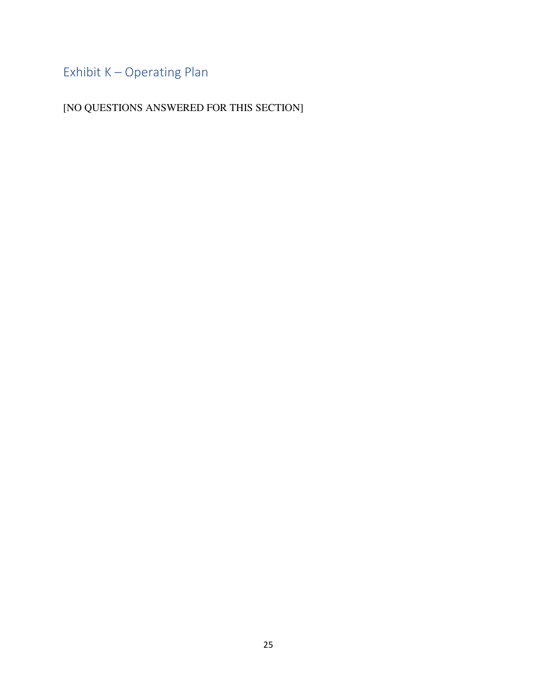Exhibit K – Operating Plan

[NO QUESTIONS ANSWERED FOR THIS SECTION]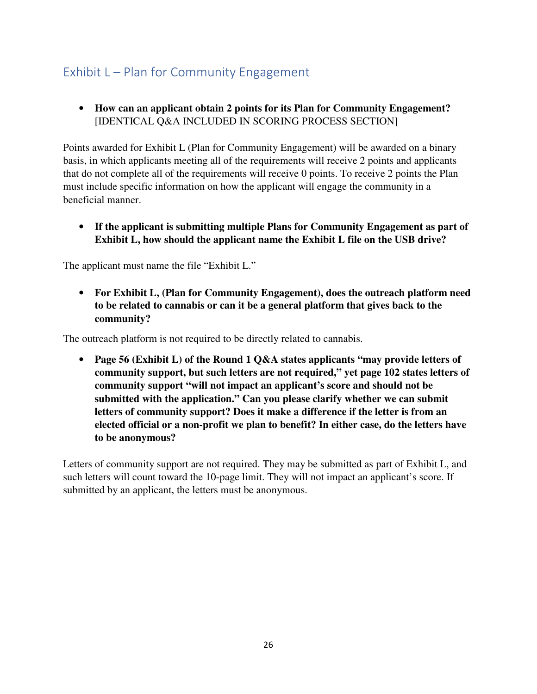# Exhibit L – Plan for Community Engagement

• **How can an applicant obtain 2 points for its Plan for Community Engagement?**  [IDENTICAL Q&A INCLUDED IN SCORING PROCESS SECTION]

Points awarded for Exhibit L (Plan for Community Engagement) will be awarded on a binary basis, in which applicants meeting all of the requirements will receive 2 points and applicants that do not complete all of the requirements will receive 0 points. To receive 2 points the Plan must include specific information on how the applicant will engage the community in a beneficial manner.

• **If the applicant is submitting multiple Plans for Community Engagement as part of Exhibit L, how should the applicant name the Exhibit L file on the USB drive?** 

The applicant must name the file "Exhibit L."

• **For Exhibit L, (Plan for Community Engagement), does the outreach platform need to be related to cannabis or can it be a general platform that gives back to the community?** 

The outreach platform is not required to be directly related to cannabis.

• **Page 56 (Exhibit L) of the Round 1 Q&A states applicants "may provide letters of community support, but such letters are not required," yet page 102 states letters of community support "will not impact an applicant's score and should not be submitted with the application." Can you please clarify whether we can submit letters of community support? Does it make a difference if the letter is from an elected official or a non-profit we plan to benefit? In either case, do the letters have to be anonymous?**

Letters of community support are not required. They may be submitted as part of Exhibit L, and such letters will count toward the 10-page limit. They will not impact an applicant's score. If submitted by an applicant, the letters must be anonymous.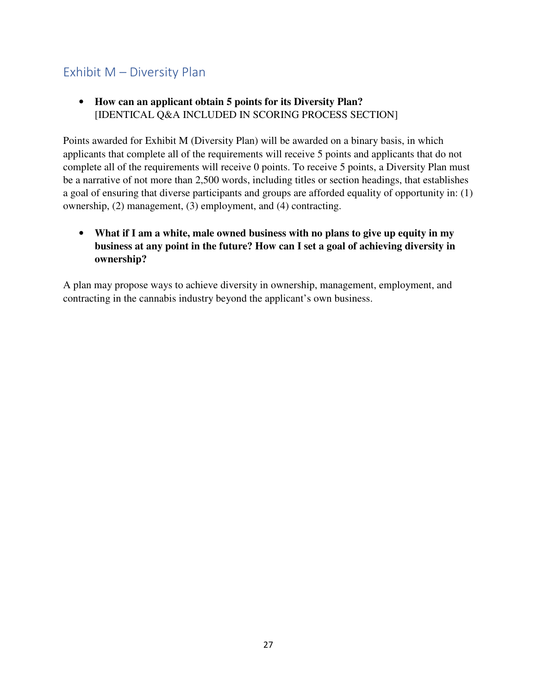### Exhibit M – Diversity Plan

• **How can an applicant obtain 5 points for its Diversity Plan?**  [IDENTICAL Q&A INCLUDED IN SCORING PROCESS SECTION]

Points awarded for Exhibit M (Diversity Plan) will be awarded on a binary basis, in which applicants that complete all of the requirements will receive 5 points and applicants that do not complete all of the requirements will receive 0 points. To receive 5 points, a Diversity Plan must be a narrative of not more than 2,500 words, including titles or section headings, that establishes a goal of ensuring that diverse participants and groups are afforded equality of opportunity in: (1) ownership, (2) management, (3) employment, and (4) contracting.

• **What if I am a white, male owned business with no plans to give up equity in my business at any point in the future? How can I set a goal of achieving diversity in ownership?** 

A plan may propose ways to achieve diversity in ownership, management, employment, and contracting in the cannabis industry beyond the applicant's own business.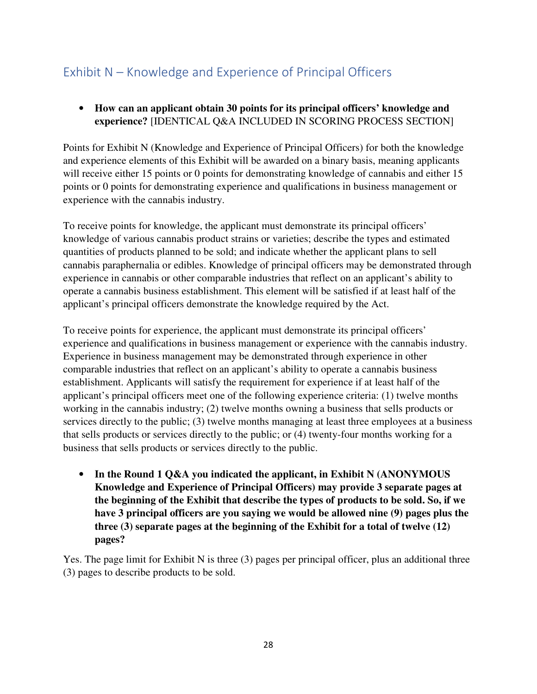## Exhibit N – Knowledge and Experience of Principal Officers

• **How can an applicant obtain 30 points for its principal officers' knowledge and experience?** [IDENTICAL Q&A INCLUDED IN SCORING PROCESS SECTION]

Points for Exhibit N (Knowledge and Experience of Principal Officers) for both the knowledge and experience elements of this Exhibit will be awarded on a binary basis, meaning applicants will receive either 15 points or 0 points for demonstrating knowledge of cannabis and either 15 points or 0 points for demonstrating experience and qualifications in business management or experience with the cannabis industry.

To receive points for knowledge, the applicant must demonstrate its principal officers' knowledge of various cannabis product strains or varieties; describe the types and estimated quantities of products planned to be sold; and indicate whether the applicant plans to sell cannabis paraphernalia or edibles. Knowledge of principal officers may be demonstrated through experience in cannabis or other comparable industries that reflect on an applicant's ability to operate a cannabis business establishment. This element will be satisfied if at least half of the applicant's principal officers demonstrate the knowledge required by the Act.

To receive points for experience, the applicant must demonstrate its principal officers' experience and qualifications in business management or experience with the cannabis industry. Experience in business management may be demonstrated through experience in other comparable industries that reflect on an applicant's ability to operate a cannabis business establishment. Applicants will satisfy the requirement for experience if at least half of the applicant's principal officers meet one of the following experience criteria: (1) twelve months working in the cannabis industry; (2) twelve months owning a business that sells products or services directly to the public; (3) twelve months managing at least three employees at a business that sells products or services directly to the public; or (4) twenty-four months working for a business that sells products or services directly to the public.

• **In the Round 1 Q&A you indicated the applicant, in Exhibit N (ANONYMOUS Knowledge and Experience of Principal Officers) may provide 3 separate pages at the beginning of the Exhibit that describe the types of products to be sold. So, if we have 3 principal officers are you saying we would be allowed nine (9) pages plus the three (3) separate pages at the beginning of the Exhibit for a total of twelve (12) pages?** 

Yes. The page limit for Exhibit N is three (3) pages per principal officer, plus an additional three (3) pages to describe products to be sold.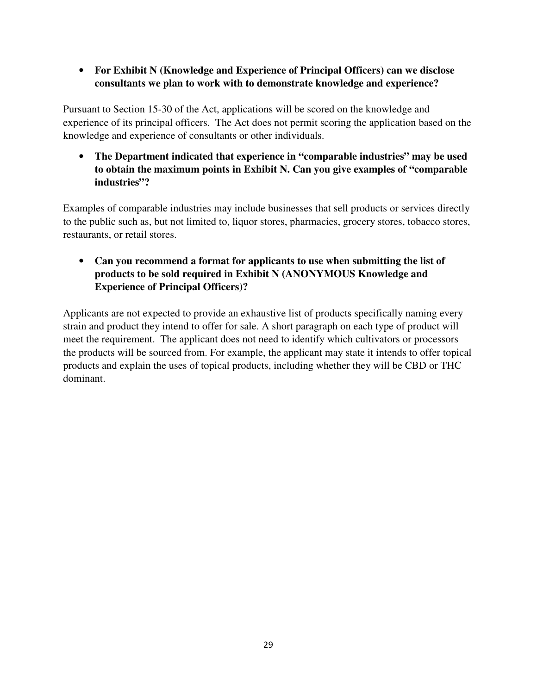• **For Exhibit N (Knowledge and Experience of Principal Officers) can we disclose consultants we plan to work with to demonstrate knowledge and experience?**

Pursuant to Section 15-30 of the Act, applications will be scored on the knowledge and experience of its principal officers. The Act does not permit scoring the application based on the knowledge and experience of consultants or other individuals.

• **The Department indicated that experience in "comparable industries" may be used to obtain the maximum points in Exhibit N. Can you give examples of "comparable industries"?** 

Examples of comparable industries may include businesses that sell products or services directly to the public such as, but not limited to, liquor stores, pharmacies, grocery stores, tobacco stores, restaurants, or retail stores.

### • **Can you recommend a format for applicants to use when submitting the list of products to be sold required in Exhibit N (ANONYMOUS Knowledge and Experience of Principal Officers)?**

Applicants are not expected to provide an exhaustive list of products specifically naming every strain and product they intend to offer for sale. A short paragraph on each type of product will meet the requirement. The applicant does not need to identify which cultivators or processors the products will be sourced from. For example, the applicant may state it intends to offer topical products and explain the uses of topical products, including whether they will be CBD or THC dominant.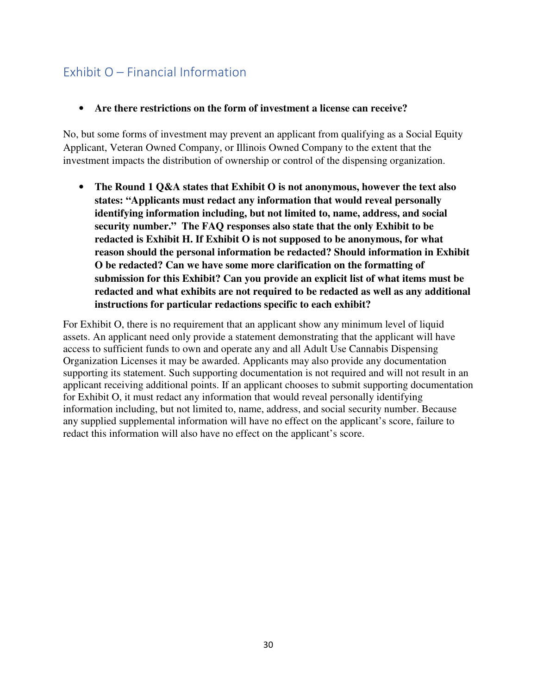## Exhibit O – Financial Information

#### • **Are there restrictions on the form of investment a license can receive?**

No, but some forms of investment may prevent an applicant from qualifying as a Social Equity Applicant, Veteran Owned Company, or Illinois Owned Company to the extent that the investment impacts the distribution of ownership or control of the dispensing organization.

• **The Round 1 Q&A states that Exhibit O is not anonymous, however the text also states: "Applicants must redact any information that would reveal personally identifying information including, but not limited to, name, address, and social security number." The FAQ responses also state that the only Exhibit to be redacted is Exhibit H. If Exhibit O is not supposed to be anonymous, for what reason should the personal information be redacted? Should information in Exhibit O be redacted? Can we have some more clarification on the formatting of submission for this Exhibit? Can you provide an explicit list of what items must be redacted and what exhibits are not required to be redacted as well as any additional instructions for particular redactions specific to each exhibit?** 

For Exhibit O, there is no requirement that an applicant show any minimum level of liquid assets. An applicant need only provide a statement demonstrating that the applicant will have access to sufficient funds to own and operate any and all Adult Use Cannabis Dispensing Organization Licenses it may be awarded. Applicants may also provide any documentation supporting its statement. Such supporting documentation is not required and will not result in an applicant receiving additional points. If an applicant chooses to submit supporting documentation for Exhibit O, it must redact any information that would reveal personally identifying information including, but not limited to, name, address, and social security number. Because any supplied supplemental information will have no effect on the applicant's score, failure to redact this information will also have no effect on the applicant's score.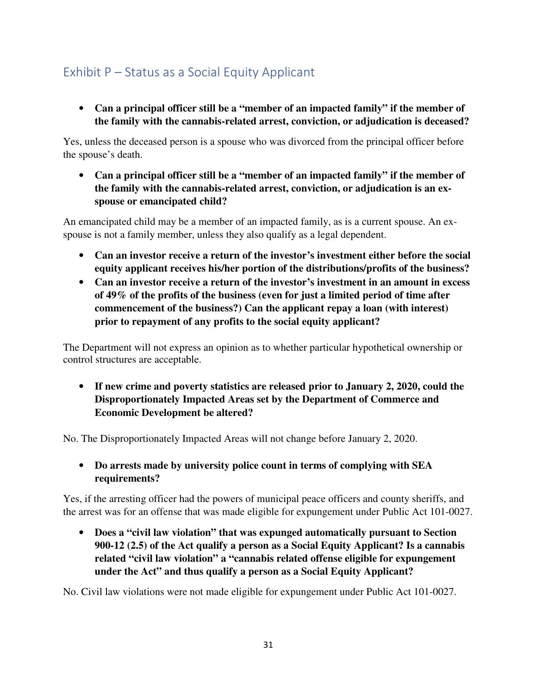# Exhibit P – Status as a Social Equity Applicant

• **Can a principal officer still be a "member of an impacted family" if the member of the family with the cannabis-related arrest, conviction, or adjudication is deceased?**

Yes, unless the deceased person is a spouse who was divorced from the principal officer before the spouse's death.

• **Can a principal officer still be a "member of an impacted family" if the member of the family with the cannabis-related arrest, conviction, or adjudication is an exspouse or emancipated child?**

An emancipated child may be a member of an impacted family, as is a current spouse. An exspouse is not a family member, unless they also qualify as a legal dependent.

- **Can an investor receive a return of the investor's investment either before the social equity applicant receives his/her portion of the distributions/profits of the business?**
- **Can an investor receive a return of the investor's investment in an amount in excess of 49% of the profits of the business (even for just a limited period of time after commencement of the business?) Can the applicant repay a loan (with interest) prior to repayment of any profits to the social equity applicant?**

The Department will not express an opinion as to whether particular hypothetical ownership or control structures are acceptable.

• **If new crime and poverty statistics are released prior to January 2, 2020, could the Disproportionately Impacted Areas set by the Department of Commerce and Economic Development be altered?** 

No. The Disproportionately Impacted Areas will not change before January 2, 2020.

• **Do arrests made by university police count in terms of complying with SEA requirements?** 

Yes, if the arresting officer had the powers of municipal peace officers and county sheriffs, and the arrest was for an offense that was made eligible for expungement under Public Act 101-0027.

• **Does a "civil law violation" that was expunged automatically pursuant to Section 900-12 (2.5) of the Act qualify a person as a Social Equity Applicant? Is a cannabis related "civil law violation" a "cannabis related offense eligible for expungement under the Act" and thus qualify a person as a Social Equity Applicant?** 

No. Civil law violations were not made eligible for expungement under Public Act 101-0027.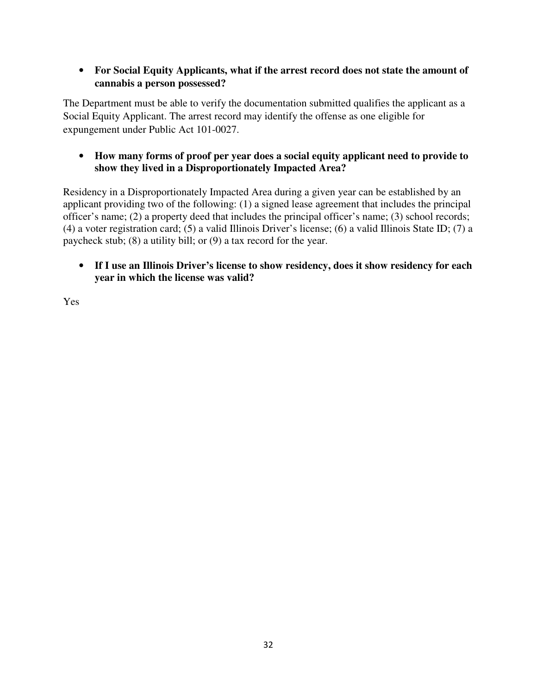### • **For Social Equity Applicants, what if the arrest record does not state the amount of cannabis a person possessed?**

The Department must be able to verify the documentation submitted qualifies the applicant as a Social Equity Applicant. The arrest record may identify the offense as one eligible for expungement under Public Act 101-0027.

### • **How many forms of proof per year does a social equity applicant need to provide to show they lived in a Disproportionately Impacted Area?**

Residency in a Disproportionately Impacted Area during a given year can be established by an applicant providing two of the following: (1) a signed lease agreement that includes the principal officer's name; (2) a property deed that includes the principal officer's name; (3) school records; (4) a voter registration card; (5) a valid Illinois Driver's license; (6) a valid Illinois State ID; (7) a paycheck stub; (8) a utility bill; or (9) a tax record for the year.

• **If I use an Illinois Driver's license to show residency, does it show residency for each year in which the license was valid?** 

Yes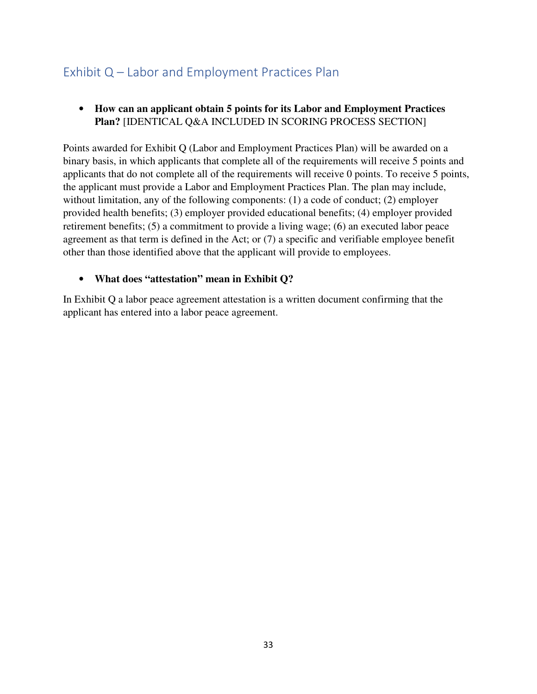### Exhibit Q – Labor and Employment Practices Plan

### • **How can an applicant obtain 5 points for its Labor and Employment Practices Plan?** [IDENTICAL Q&A INCLUDED IN SCORING PROCESS SECTION]

Points awarded for Exhibit Q (Labor and Employment Practices Plan) will be awarded on a binary basis, in which applicants that complete all of the requirements will receive 5 points and applicants that do not complete all of the requirements will receive 0 points. To receive 5 points, the applicant must provide a Labor and Employment Practices Plan. The plan may include, without limitation, any of the following components: (1) a code of conduct; (2) employer provided health benefits; (3) employer provided educational benefits; (4) employer provided retirement benefits; (5) a commitment to provide a living wage; (6) an executed labor peace agreement as that term is defined in the Act; or (7) a specific and verifiable employee benefit other than those identified above that the applicant will provide to employees.

### • **What does "attestation" mean in Exhibit Q?**

In Exhibit Q a labor peace agreement attestation is a written document confirming that the applicant has entered into a labor peace agreement.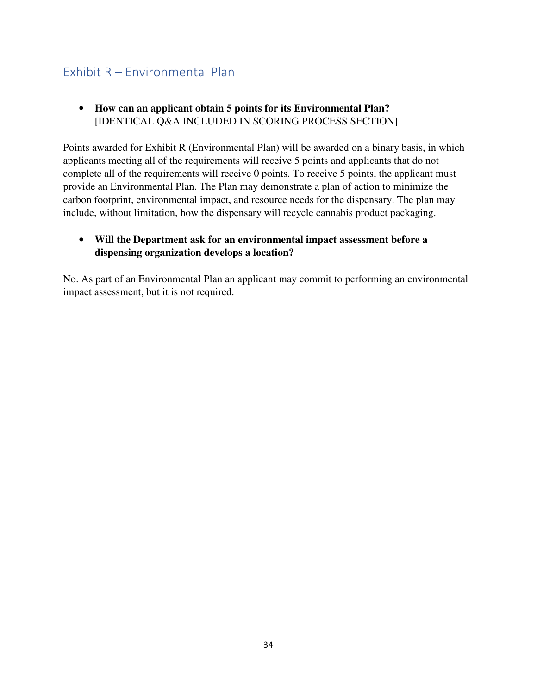### Exhibit R – Environmental Plan

• **How can an applicant obtain 5 points for its Environmental Plan?**  [IDENTICAL Q&A INCLUDED IN SCORING PROCESS SECTION]

Points awarded for Exhibit R (Environmental Plan) will be awarded on a binary basis, in which applicants meeting all of the requirements will receive 5 points and applicants that do not complete all of the requirements will receive 0 points. To receive 5 points, the applicant must provide an Environmental Plan. The Plan may demonstrate a plan of action to minimize the carbon footprint, environmental impact, and resource needs for the dispensary. The plan may include, without limitation, how the dispensary will recycle cannabis product packaging.

### • **Will the Department ask for an environmental impact assessment before a dispensing organization develops a location?**

No. As part of an Environmental Plan an applicant may commit to performing an environmental impact assessment, but it is not required.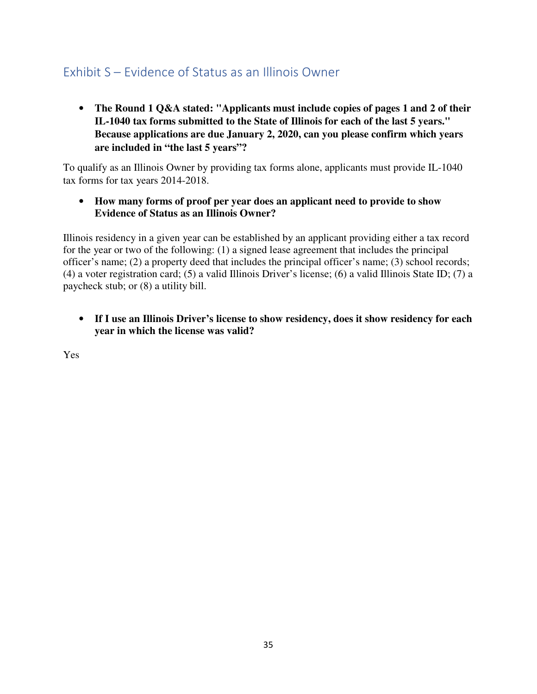### Exhibit S – Evidence of Status as an Illinois Owner

• **The Round 1 Q&A stated: "Applicants must include copies of pages 1 and 2 of their IL-1040 tax forms submitted to the State of Illinois for each of the last 5 years." Because applications are due January 2, 2020, can you please confirm which years are included in "the last 5 years"?**

To qualify as an Illinois Owner by providing tax forms alone, applicants must provide IL-1040 tax forms for tax years 2014-2018.

• **How many forms of proof per year does an applicant need to provide to show Evidence of Status as an Illinois Owner?**

Illinois residency in a given year can be established by an applicant providing either a tax record for the year or two of the following: (1) a signed lease agreement that includes the principal officer's name; (2) a property deed that includes the principal officer's name; (3) school records; (4) a voter registration card; (5) a valid Illinois Driver's license; (6) a valid Illinois State ID; (7) a paycheck stub; or (8) a utility bill.

• **If I use an Illinois Driver's license to show residency, does it show residency for each year in which the license was valid?** 

Yes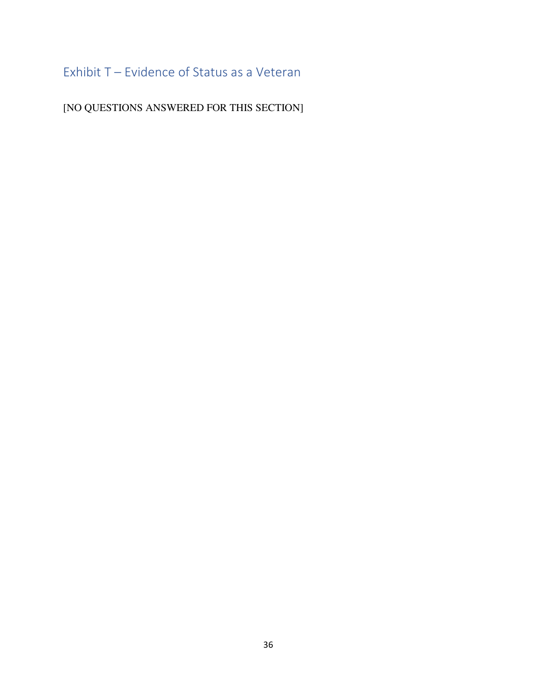# Exhibit T – Evidence of Status as a Veteran

[NO QUESTIONS ANSWERED FOR THIS SECTION]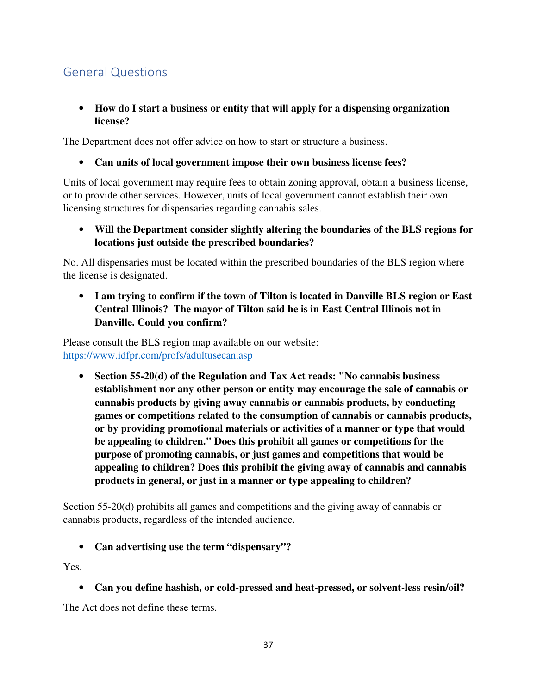## General Questions

#### • **How do I start a business or entity that will apply for a dispensing organization license?**

The Department does not offer advice on how to start or structure a business.

• **Can units of local government impose their own business license fees?**

Units of local government may require fees to obtain zoning approval, obtain a business license, or to provide other services. However, units of local government cannot establish their own licensing structures for dispensaries regarding cannabis sales.

• **Will the Department consider slightly altering the boundaries of the BLS regions for locations just outside the prescribed boundaries?** 

No. All dispensaries must be located within the prescribed boundaries of the BLS region where the license is designated.

• **I am trying to confirm if the town of Tilton is located in Danville BLS region or East Central Illinois? The mayor of Tilton said he is in East Central Illinois not in Danville. Could you confirm?**

Please consult the BLS region map available on our website: https://www.idfpr.com/profs/adultusecan.asp

• **Section 55-20(d) of the Regulation and Tax Act reads: "No cannabis business establishment nor any other person or entity may encourage the sale of cannabis or cannabis products by giving away cannabis or cannabis products, by conducting games or competitions related to the consumption of cannabis or cannabis products, or by providing promotional materials or activities of a manner or type that would be appealing to children." Does this prohibit all games or competitions for the purpose of promoting cannabis, or just games and competitions that would be appealing to children? Does this prohibit the giving away of cannabis and cannabis products in general, or just in a manner or type appealing to children?** 

Section 55-20(d) prohibits all games and competitions and the giving away of cannabis or cannabis products, regardless of the intended audience.

#### • **Can advertising use the term "dispensary"?**

Yes.

• **Can you define hashish, or cold-pressed and heat-pressed, or solvent-less resin/oil?**

The Act does not define these terms.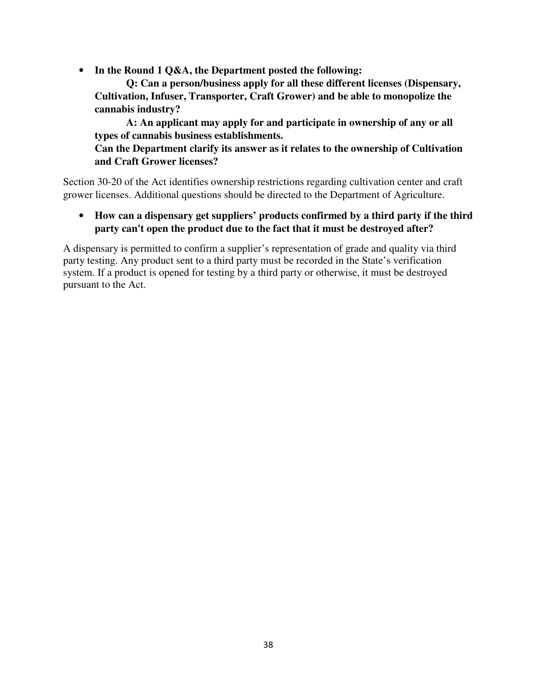• **In the Round 1 Q&A, the Department posted the following:** 

**Q: Can a person/business apply for all these different licenses (Dispensary, Cultivation, Infuser, Transporter, Craft Grower) and be able to monopolize the cannabis industry?** 

**A: An applicant may apply for and participate in ownership of any or all types of cannabis business establishments.** 

**Can the Department clarify its answer as it relates to the ownership of Cultivation and Craft Grower licenses?** 

Section 30-20 of the Act identifies ownership restrictions regarding cultivation center and craft grower licenses. Additional questions should be directed to the Department of Agriculture.

• **How can a dispensary get suppliers' products confirmed by a third party if the third party can't open the product due to the fact that it must be destroyed after?**

A dispensary is permitted to confirm a supplier's representation of grade and quality via third party testing. Any product sent to a third party must be recorded in the State's verification system. If a product is opened for testing by a third party or otherwise, it must be destroyed pursuant to the Act.